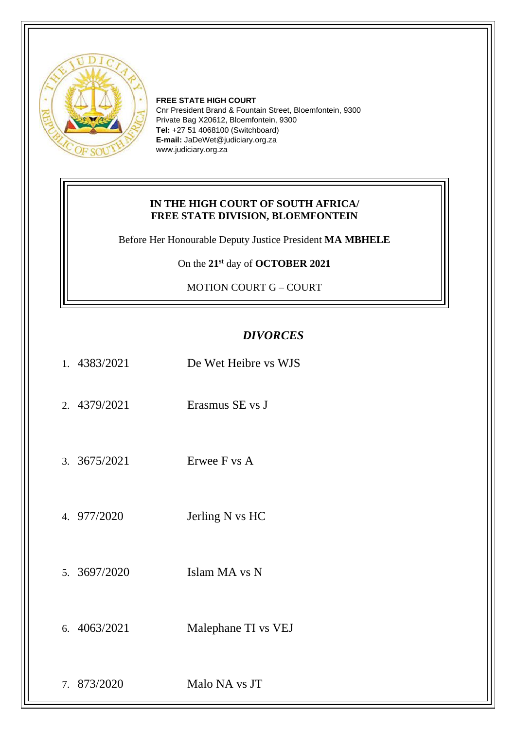

**FREE STATE HIGH COURT** Cnr President Brand & Fountain Street, Bloemfontein, 9300 Private Bag X20612, Bloemfontein, 9300 **Tel:** +27 51 4068100 (Switchboard) **E-mail:** JaDeWet@judiciary.org.za www.judiciary.org.za

## **IN THE HIGH COURT OF SOUTH AFRICA/ FREE STATE DIVISION, BLOEMFONTEIN**

Before Her Honourable Deputy Justice President **MA MBHELE**

On the **21st** day of **OCTOBER 2021**

MOTION COURT G – COURT

## *DIVORCES*

| 1. 4383/2021 | De Wet Heibre vs WJS |
|--------------|----------------------|
| 2. 4379/2021 | Erasmus SE vs J      |
| 3. 3675/2021 | Erwee F vs A         |
| 4. 977/2020  | Jerling N vs HC      |
| 5. 3697/2020 | Islam MA vs N        |
| 6. 4063/2021 | Malephane TI vs VEJ  |
| 7. 873/2020  | Malo NA vs JT        |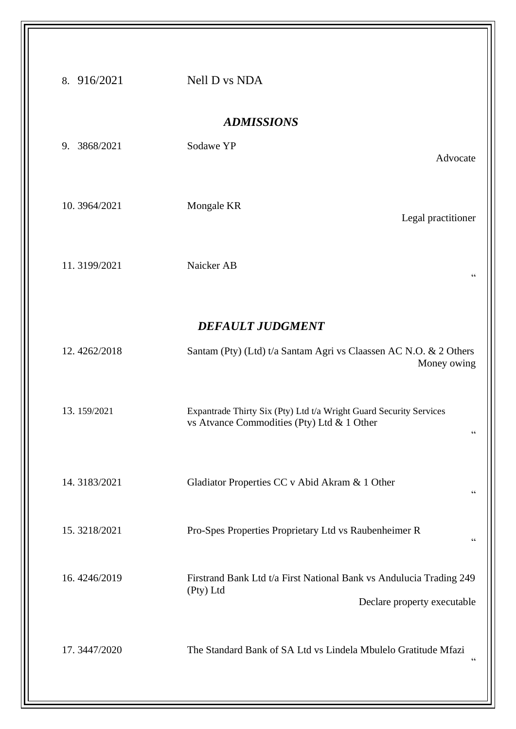| 8. 916/2021       | Nell D vs NDA                                                                                                          |  |  |  |  |
|-------------------|------------------------------------------------------------------------------------------------------------------------|--|--|--|--|
| <b>ADMISSIONS</b> |                                                                                                                        |  |  |  |  |
| 9. 3868/2021      | Sodawe YP<br>Advocate                                                                                                  |  |  |  |  |
| 10.3964/2021      | Mongale KR<br>Legal practitioner                                                                                       |  |  |  |  |
| 11.3199/2021      | Naicker AB<br>$\zeta$ $\zeta$                                                                                          |  |  |  |  |
|                   | <b>DEFAULT JUDGMENT</b>                                                                                                |  |  |  |  |
| 12.4262/2018      | Santam (Pty) (Ltd) t/a Santam Agri vs Claassen AC N.O. & 2 Others<br>Money owing                                       |  |  |  |  |
| 13.159/2021       | Expantrade Thirty Six (Pty) Ltd t/a Wright Guard Security Services<br>vs Atvance Commodities (Pty) Ltd & 1 Other<br>66 |  |  |  |  |
| 14.3183/2021      | Gladiator Properties CC v Abid Akram & 1 Other<br>$\zeta$ $\zeta$                                                      |  |  |  |  |
| 15.3218/2021      | Pro-Spes Properties Proprietary Ltd vs Raubenheimer R<br>66                                                            |  |  |  |  |
| 16.4246/2019      | Firstrand Bank Ltd t/a First National Bank vs Andulucia Trading 249<br>(Pty) Ltd<br>Declare property executable        |  |  |  |  |
| 17.3447/2020      | The Standard Bank of SA Ltd vs Lindela Mbulelo Gratitude Mfazi<br>$\zeta$ $\zeta$                                      |  |  |  |  |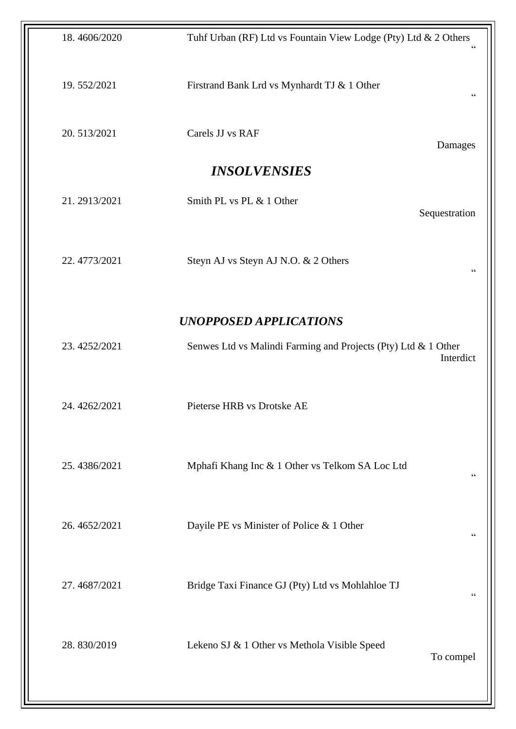| Tuhf Urban (RF) Ltd vs Fountain View Lodge (Pty) Ltd & 2 Others |                |
|-----------------------------------------------------------------|----------------|
| Firstrand Bank Lrd vs Mynhardt TJ & 1 Other                     | $\zeta\,\zeta$ |
| Carels JJ vs RAF                                                | Damages        |
| <b>INSOLVENSIES</b>                                             |                |
| Smith PL vs PL & 1 Other                                        | Sequestration  |
| Steyn AJ vs Steyn AJ N.O. & 2 Others                            | $\zeta\,\zeta$ |
| <b>UNOPPOSED APPLICATIONS</b>                                   |                |
| Senwes Ltd vs Malindi Farming and Projects (Pty) Ltd & 1 Other  | Interdict      |
| Pieterse HRB vs Drotske AE                                      |                |
| Mphafi Khang Inc & 1 Other vs Telkom SA Loc Ltd                 | $\,$ 6 $\,$    |
| Dayile PE vs Minister of Police & 1 Other                       | $\zeta\,\zeta$ |
| Bridge Taxi Finance GJ (Pty) Ltd vs Mohlahloe TJ                | $\mbox{\bf G}$ |
| Lekeno SJ & 1 Other vs Methola Visible Speed                    | To compel      |
|                                                                 |                |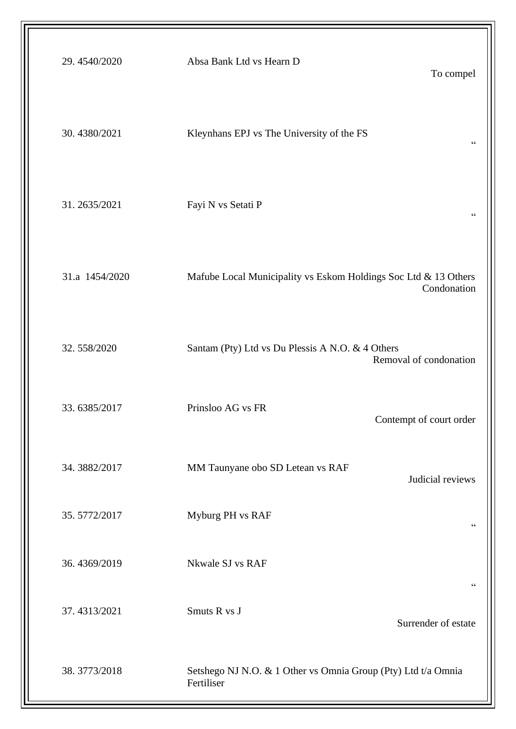| 29.4540/2020   | Absa Bank Ltd vs Hearn D<br>To compel                                          |
|----------------|--------------------------------------------------------------------------------|
| 30.4380/2021   | Kleynhans EPJ vs The University of the FS<br>$\zeta \, \zeta$                  |
| 31.2635/2021   | Fayi N vs Setati P<br>$\zeta \, \zeta$                                         |
| 31.a 1454/2020 | Mafube Local Municipality vs Eskom Holdings Soc Ltd & 13 Others<br>Condonation |
| 32.558/2020    | Santam (Pty) Ltd vs Du Plessis A N.O. & 4 Others<br>Removal of condonation     |
| 33.6385/2017   | Prinsloo AG vs FR<br>Contempt of court order                                   |
| 34.3882/2017   | MM Taunyane obo SD Letean vs RAF<br>Judicial reviews                           |
| 35.5772/2017   | Myburg PH vs RAF<br>$\zeta \, \zeta$                                           |
| 36.4369/2019   | Nkwale SJ vs RAF<br>$\zeta$ $\zeta$                                            |
| 37.4313/2021   | Smuts R vs J<br>Surrender of estate                                            |
| 38.3773/2018   | Setshego NJ N.O. & 1 Other vs Omnia Group (Pty) Ltd t/a Omnia<br>Fertiliser    |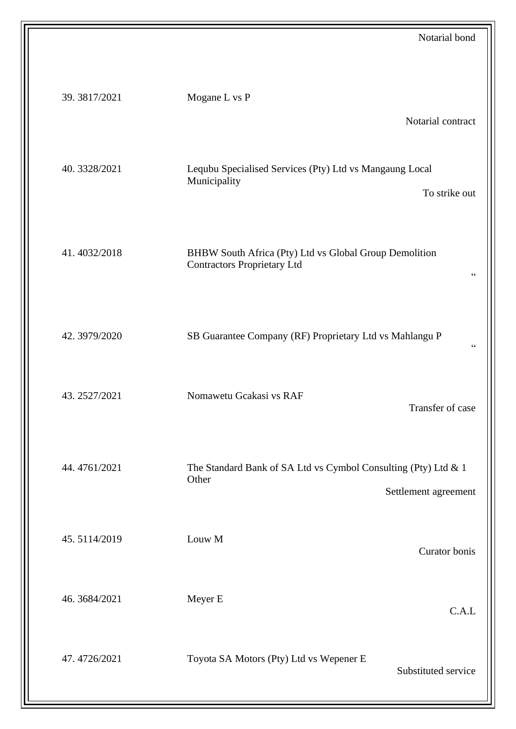| Notarial bond                                                                                                   |              |
|-----------------------------------------------------------------------------------------------------------------|--------------|
| Mogane L vs P                                                                                                   | 39.3817/2021 |
| Notarial contract                                                                                               |              |
| Lequbu Specialised Services (Pty) Ltd vs Mangaung Local<br>Municipality<br>To strike out                        | 40.3328/2021 |
| BHBW South Africa (Pty) Ltd vs Global Group Demolition<br><b>Contractors Proprietary Ltd</b><br>$\zeta$ $\zeta$ | 41.4032/2018 |
| SB Guarantee Company (RF) Proprietary Ltd vs Mahlangu P<br>$\zeta$ $\zeta$                                      | 42.3979/2020 |
| Nomawetu Gcakasi vs RAF<br>Transfer of case                                                                     | 43.2527/2021 |
| The Standard Bank of SA Ltd vs Cymbol Consulting (Pty) Ltd & 1<br>Other<br>Settlement agreement                 | 44.4761/2021 |
| Louw M<br>Curator bonis                                                                                         | 45.5114/2019 |
| Meyer E<br>C.A.L                                                                                                | 46.3684/2021 |
| Toyota SA Motors (Pty) Ltd vs Wepener E<br>Substituted service                                                  | 47.4726/2021 |